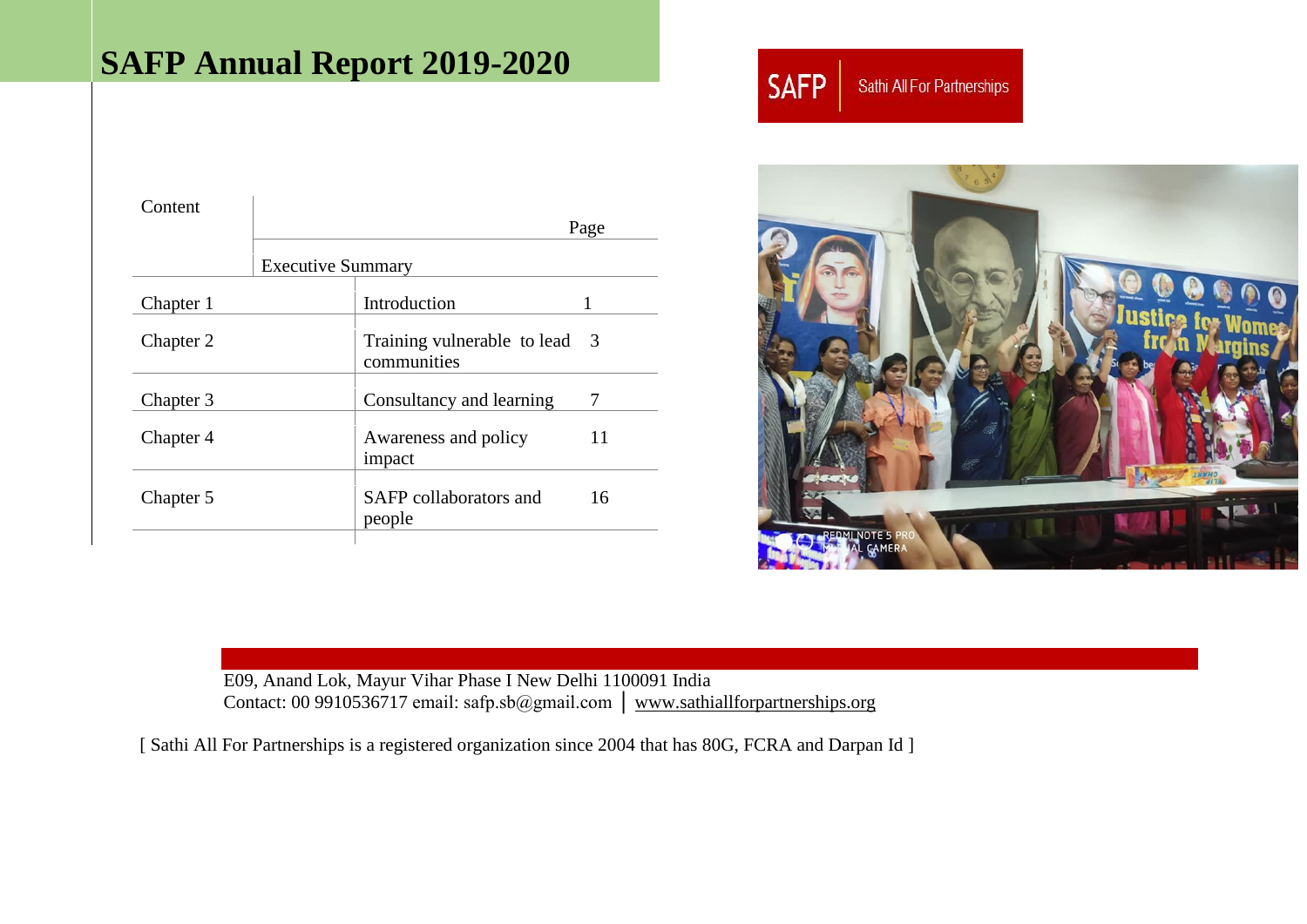# **SAFP Annual Report 2019-2020**

| Content   |                          |                                            |      |
|-----------|--------------------------|--------------------------------------------|------|
|           |                          |                                            | Page |
|           | <b>Executive Summary</b> |                                            |      |
| Chapter 1 |                          | Introduction                               |      |
| Chapter 2 |                          | Training vulnerable to lead<br>communities | - 3  |
| Chapter 3 |                          | Consultancy and learning                   | 7    |
| Chapter 4 |                          | Awareness and policy<br>impact             | 11   |
| Chapter 5 |                          | SAFP collaborators and<br>people           | 16   |
|           |                          |                                            |      |

**SAFP** Sathi All For Partnerships



E09, Anand Lok, Mayur Vihar Phase I New Delhi 1100091 India Contact: 00 9910536717 email: safp.sb@gmail.com │ [www.sathiallforpartnerships.org](http://www.sathiallforpartnerships.org/) 

[ Sathi All For Partnerships is a registered organization since 2004 that has 80G, FCRA and Darpan Id ]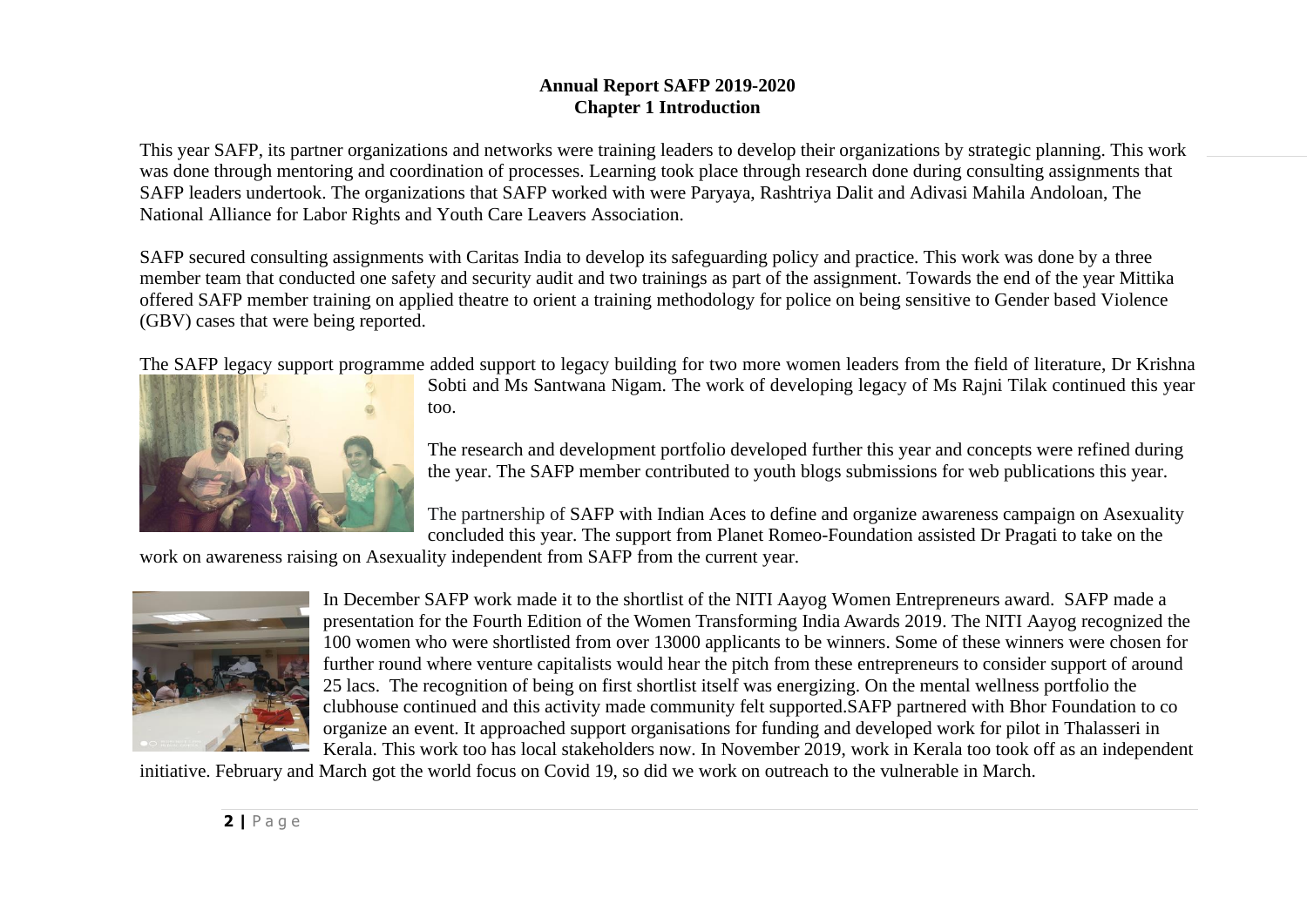## **Annual Report SAFP 2019-2020 Chapter 1 Introduction**

This year SAFP, its partner organizations and networks were training leaders to develop their organizations by strategic planning. This work was done through mentoring and coordination of processes. Learning took place through research done during consulting assignments that SAFP leaders undertook. The organizations that SAFP worked with were Paryaya, Rashtriya Dalit and Adivasi Mahila Andoloan, The National Alliance for Labor Rights and Youth Care Leavers Association.

SAFP secured consulting assignments with Caritas India to develop its safeguarding policy and practice. This work was done by a three member team that conducted one safety and security audit and two trainings as part of the assignment. Towards the end of the year Mittika offered SAFP member training on applied theatre to orient a training methodology for police on being sensitive to Gender based Violence (GBV) cases that were being reported.

The SAFP legacy support programme added support to legacy building for two more women leaders from the field of literature, Dr Krishna



Sobti and Ms Santwana Nigam. The work of developing legacy of Ms Rajni Tilak continued this year too.

The research and development portfolio developed further this year and concepts were refined during the year. The SAFP member contributed to youth blogs submissions for web publications this year.

The partnership of SAFP with Indian Aces to define and organize awareness campaign on Asexuality concluded this year. The support from Planet Romeo-Foundation assisted Dr Pragati to take on the

work on awareness raising on Asexuality independent from SAFP from the current year.



In December SAFP work made it to the shortlist of the NITI Aayog Women Entrepreneurs award. SAFP made a presentation for the Fourth Edition of the Women Transforming India Awards 2019. The NITI Aayog recognized the 100 women who were shortlisted from over 13000 applicants to be winners. Some of these winners were chosen for further round where venture capitalists would hear the pitch from these entrepreneurs to consider support of around 25 lacs. The recognition of being on first shortlist itself was energizing. On the mental wellness portfolio the clubhouse continued and this activity made community felt supported.SAFP partnered with Bhor Foundation to co organize an event. It approached support organisations for funding and developed work for pilot in Thalasseri in Kerala. This work too has local stakeholders now. In November 2019, work in Kerala too took off as an independent

initiative. February and March got the world focus on Covid 19, so did we work on outreach to the vulnerable in March.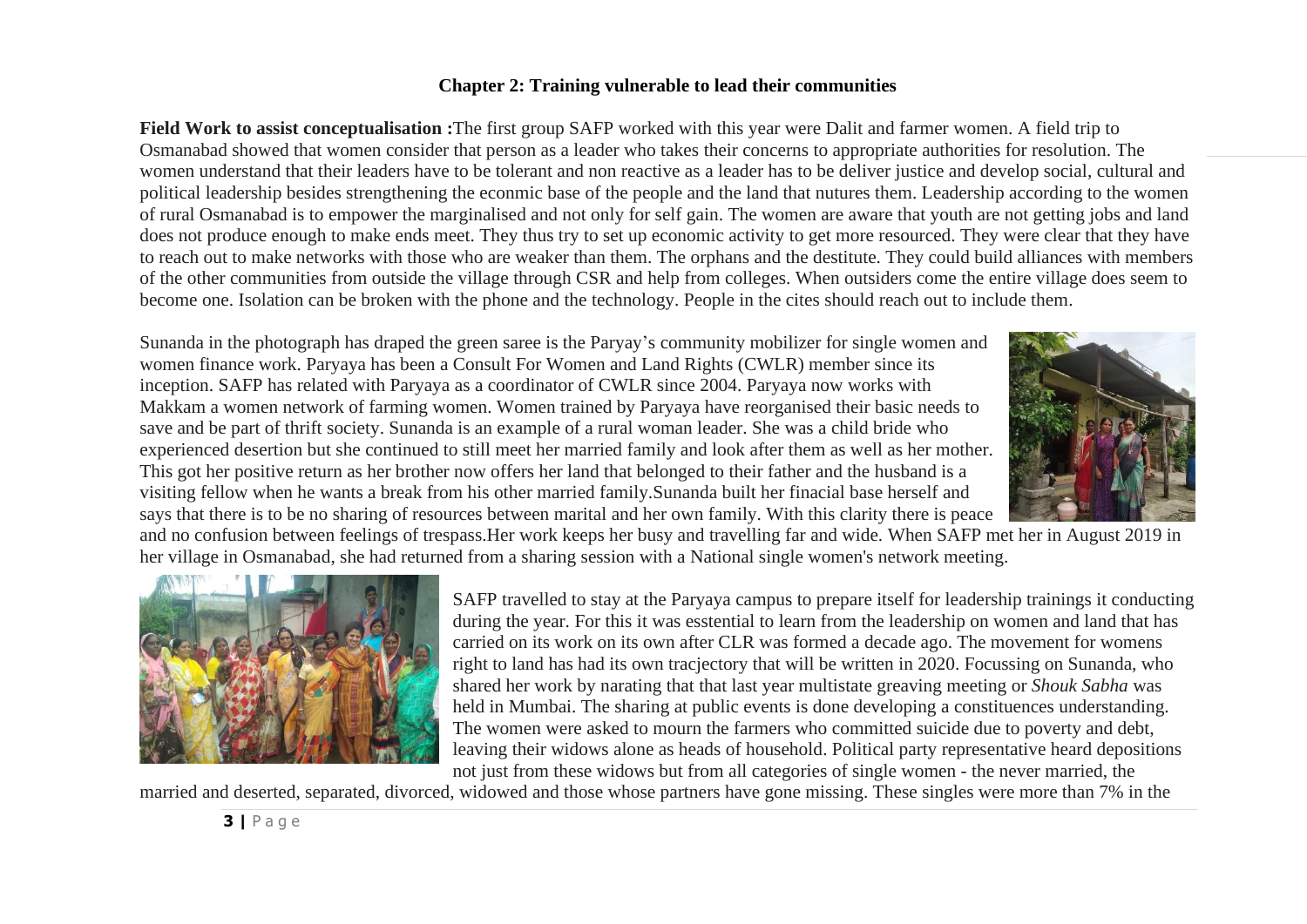## **Chapter 2: Training vulnerable to lead their communities**

**Field Work to assist conceptualisation :**The first group SAFP worked with this year were Dalit and farmer women. A field trip to Osmanabad showed that women consider that person as a leader who takes their concerns to appropriate authorities for resolution. The women understand that their leaders have to be tolerant and non reactive as a leader has to be deliver justice and develop social, cultural and political leadership besides strengthening the econmic base of the people and the land that nutures them. Leadership according to the women of rural Osmanabad is to empower the marginalised and not only for self gain. The women are aware that youth are not getting jobs and land does not produce enough to make ends meet. They thus try to set up economic activity to get more resourced. They were clear that they have to reach out to make networks with those who are weaker than them. The orphans and the destitute. They could build alliances with members of the other communities from outside the village through CSR and help from colleges. When outsiders come the entire village does seem to become one. Isolation can be broken with the phone and the technology. People in the cites should reach out to include them.

Sunanda in the photograph has draped the green saree is the Paryay's community mobilizer for single women and women finance work. Paryaya has been a Consult For Women and Land Rights (CWLR) member since its inception. SAFP has related with Paryaya as a coordinator of CWLR since 2004. Paryaya now works with Makkam a women network of farming women. Women trained by Paryaya have reorganised their basic needs to save and be part of thrift society. Sunanda is an example of a rural woman leader. She was a child bride who experienced desertion but she continued to still meet her married family and look after them as well as her mother. This got her positive return as her brother now offers her land that belonged to their father and the husband is a visiting fellow when he wants a break from his other married family.Sunanda built her finacial base herself and says that there is to be no sharing of resources between marital and her own family. With this clarity there is peace



and no confusion between feelings of trespass.Her work keeps her busy and travelling far and wide. When SAFP met her in August 2019 in her village in Osmanabad, she had returned from a sharing session with a National single women's network meeting.



SAFP travelled to stay at the Paryaya campus to prepare itself for leadership trainings it conducting during the year. For this it was esstential to learn from the leadership on women and land that has carried on its work on its own after CLR was formed a decade ago. The movement for womens right to land has had its own tracjectory that will be written in 2020. Focussing on Sunanda, who shared her work by narating that that last year multistate greaving meeting or *Shouk Sabha* was held in Mumbai. The sharing at public events is done developing a constituences understanding. The women were asked to mourn the farmers who committed suicide due to poverty and debt, leaving their widows alone as heads of household. Political party representative heard depositions not just from these widows but from all categories of single women - the never married, the

married and deserted, separated, divorced, widowed and those whose partners have gone missing. These singles were more than 7% in the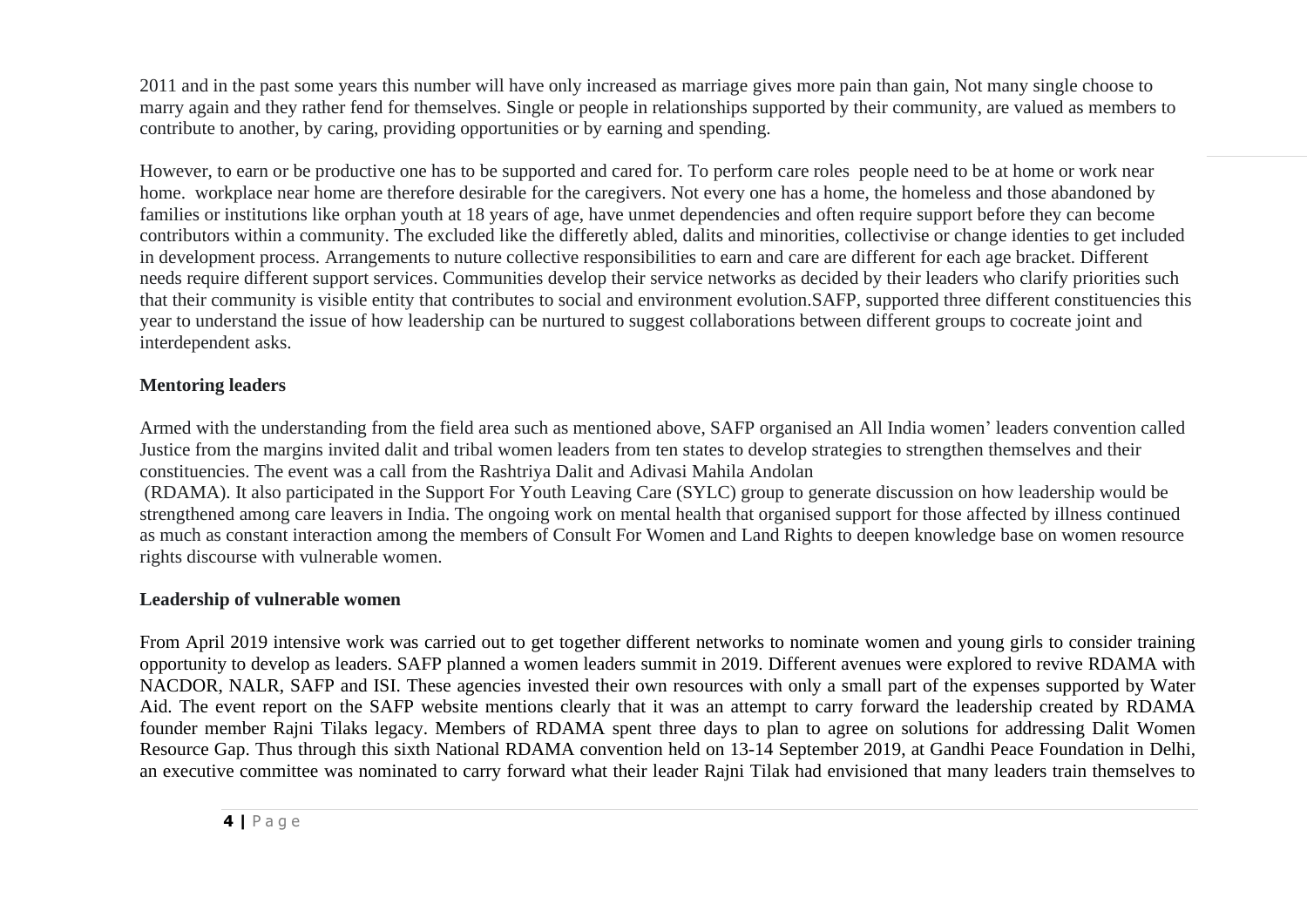2011 and in the past some years this number will have only increased as marriage gives more pain than gain, Not many single choose to marry again and they rather fend for themselves. Single or people in relationships supported by their community, are valued as members to contribute to another, by caring, providing opportunities or by earning and spending.

However, to earn or be productive one has to be supported and cared for. To perform care roles people need to be at home or work near home. workplace near home are therefore desirable for the caregivers. Not every one has a home, the homeless and those abandoned by families or institutions like orphan youth at 18 years of age, have unmet dependencies and often require support before they can become contributors within a community. The excluded like the differetly abled, dalits and minorities, collectivise or change identies to get included in development process. Arrangements to nuture collective responsibilities to earn and care are different for each age bracket. Different needs require different support services. Communities develop their service networks as decided by their leaders who clarify priorities such that their community is visible entity that contributes to social and environment evolution.SAFP, supported three different constituencies this year to understand the issue of how leadership can be nurtured to suggest collaborations between different groups to cocreate joint and interdependent asks.

## **Mentoring leaders**

Armed with the understanding from the field area such as mentioned above, SAFP organised an All India women' leaders convention called Justice from the margins invited dalit and tribal women leaders from ten states to develop strategies to strengthen themselves and their constituencies. The event was a call from the Rashtriya Dalit and Adivasi Mahila Andolan

(RDAMA). It also participated in the Support For Youth Leaving Care (SYLC) group to generate discussion on how leadership would be strengthened among care leavers in India. The ongoing work on mental health that organised support for those affected by illness continued as much as constant interaction among the members of Consult For Women and Land Rights to deepen knowledge base on women resource rights discourse with vulnerable women.

## **Leadership of vulnerable women**

From April 2019 intensive work was carried out to get together different networks to nominate women and young girls to consider training opportunity to develop as leaders. SAFP planned a women leaders summit in 2019. Different avenues were explored to revive RDAMA with NACDOR, NALR, SAFP and ISI. These agencies invested their own resources with only a small part of the expenses supported by Water Aid. The event report on the SAFP website mentions clearly that it was an attempt to carry forward the leadership created by RDAMA founder member Rajni Tilaks legacy. Members of RDAMA spent three days to plan to agree on solutions for addressing Dalit Women Resource Gap. Thus through this sixth National RDAMA convention held on 13-14 September 2019, at Gandhi Peace Foundation in Delhi, an executive committee was nominated to carry forward what their leader Rajni Tilak had envisioned that many leaders train themselves to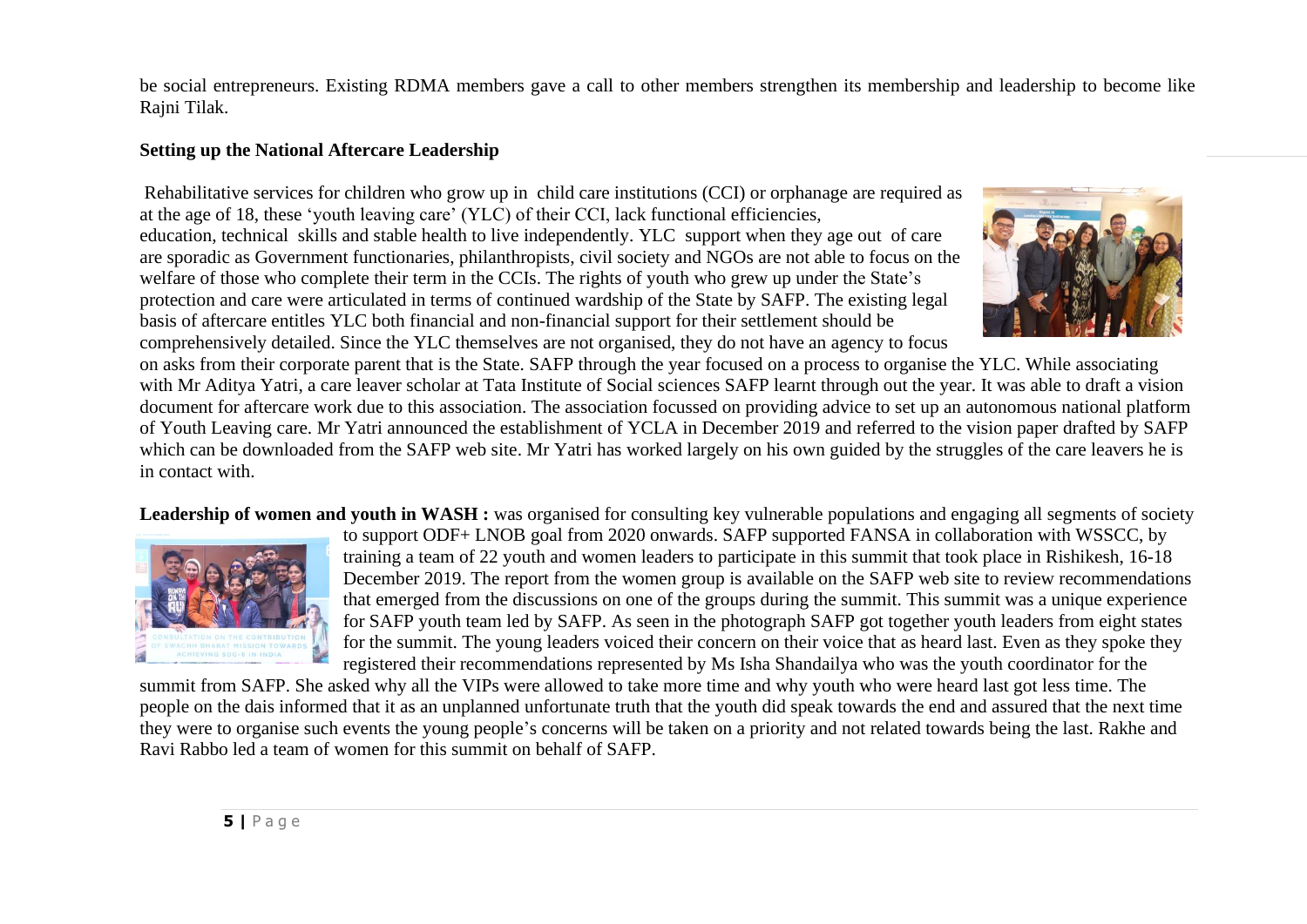be social entrepreneurs. Existing RDMA members gave a call to other members strengthen its membership and leadership to become like Rajni Tilak.

# **Setting up the National Aftercare Leadership**

Rehabilitative services for children who grow up in child care institutions (CCI) or orphanage are required as at the age of 18, these 'youth leaving care' (YLC) of their CCI, lack functional efficiencies, education, technical skills and stable health to live independently. YLC support when they age out of care are sporadic as Government functionaries, philanthropists, civil society and NGOs are not able to focus on the welfare of those who complete their term in the CCIs. The rights of youth who grew up under the State's protection and care were articulated in terms of continued wardship of the State by SAFP. The existing legal basis of aftercare entitles YLC both financial and non-financial support for their settlement should be comprehensively detailed. Since the YLC themselves are not organised, they do not have an agency to focus



on asks from their corporate parent that is the State. SAFP through the year focused on a process to organise the YLC. While associating with Mr Aditya Yatri, a care leaver scholar at Tata Institute of Social sciences SAFP learnt through out the year. It was able to draft a vision document for aftercare work due to this association. The association focussed on providing advice to set up an autonomous national platform of Youth Leaving care. Mr Yatri announced the establishment of YCLA in December 2019 and referred to the vision paper drafted by SAFP which can be downloaded from the SAFP web site. Mr Yatri has worked largely on his own guided by the struggles of the care leavers he is in contact with.

Leadership of women and youth in WASH : was organised for consulting key vulnerable populations and engaging all segments of society



to support ODF+ LNOB goal from 2020 onwards. SAFP supported FANSA in collaboration with WSSCC, by training a team of 22 youth and women leaders to participate in this summit that took place in Rishikesh, 16-18 December 2019. The report from the women group is available on the SAFP web site to review recommendations that emerged from the discussions on one of the groups during the summit. This summit was a unique experience for SAFP youth team led by SAFP. As seen in the photograph SAFP got together youth leaders from eight states for the summit. The young leaders voiced their concern on their voice that as heard last. Even as they spoke they registered their recommendations represented by Ms Isha Shandailya who was the youth coordinator for the

summit from SAFP. She asked why all the VIPs were allowed to take more time and why youth who were heard last got less time. The people on the dais informed that it as an unplanned unfortunate truth that the youth did speak towards the end and assured that the next time they were to organise such events the young people's concerns will be taken on a priority and not related towards being the last. Rakhe and Ravi Rabbo led a team of women for this summit on behalf of SAFP.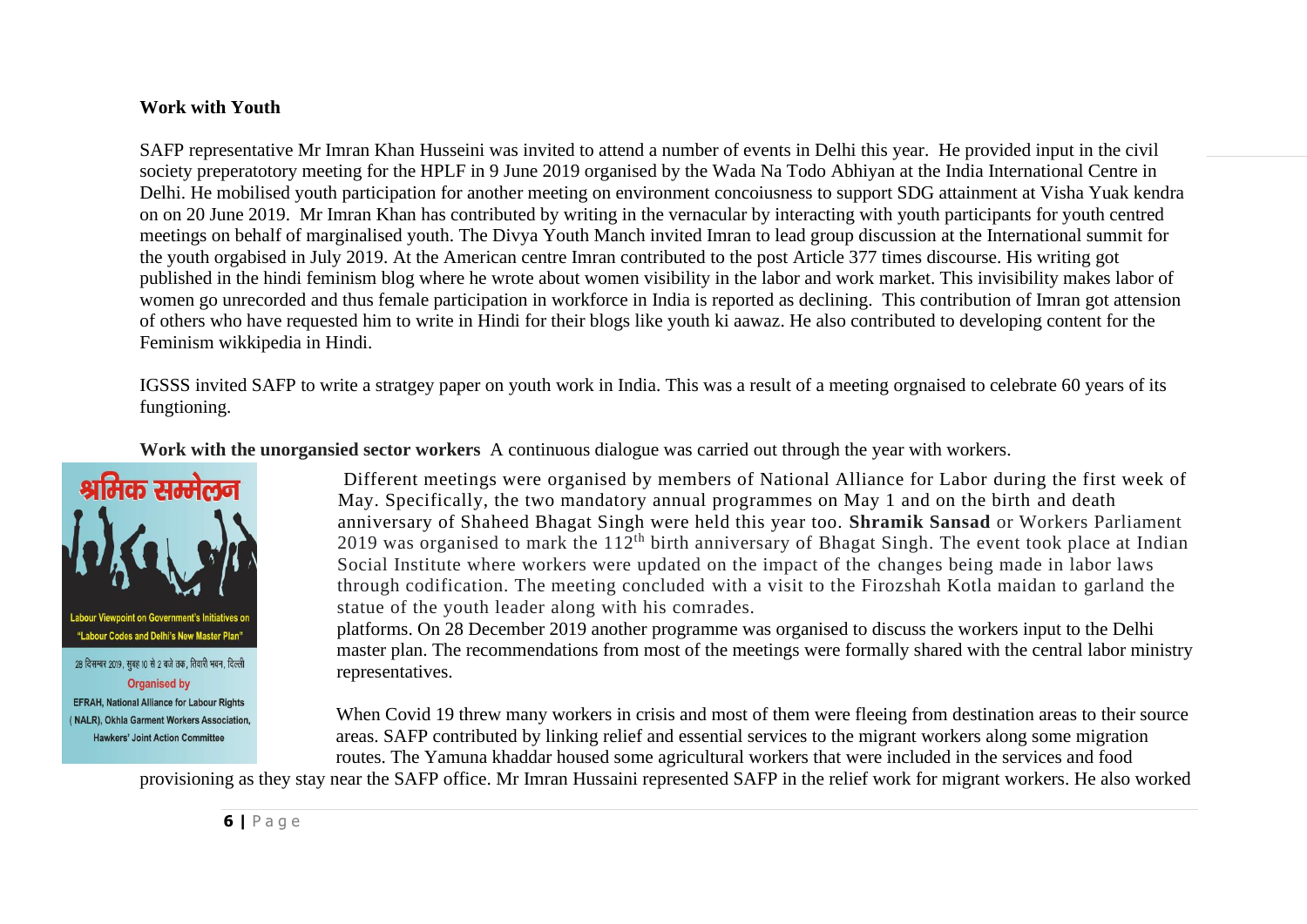#### **Work with Youth**

SAFP representative Mr Imran Khan Husseini was invited to attend a number of events in Delhi this year. He provided input in the civil society preperatotory meeting for the HPLF in 9 June 2019 organised by the Wada Na Todo Abhiyan at the India International Centre in Delhi. He mobilised youth participation for another meeting on environment concoiusness to support SDG attainment at Visha Yuak kendra on on 20 June 2019. Mr Imran Khan has contributed by writing in the vernacular by interacting with youth participants for youth centred meetings on behalf of marginalised youth. The Divya Youth Manch invited Imran to lead group discussion at the International summit for the youth orgabised in July 2019. At the American centre Imran contributed to the post Article 377 times discourse. His writing got published in the hindi feminism blog where he wrote about women visibility in the labor and work market. This invisibility makes labor of women go unrecorded and thus female participation in workforce in India is reported as declining. This contribution of Imran got attension of others who have requested him to write in Hindi for their blogs like youth ki aawaz. He also contributed to developing content for the Feminism wikkipedia in Hindi.

IGSSS invited SAFP to write a stratgey paper on youth work in India. This was a result of a meeting orgnaised to celebrate 60 years of its fungtioning.

**Work with the unorgansied sector workers** A continuous dialogue was carried out through the year with workers.



**EFRAH. National Alliance for Labour Rights** (NALR), Okhla Garment Workers Association. **Hawkers' Joint Action Committee** 

Different meetings were organised by members of National Alliance for Labor during the first week of May. Specifically, the two mandatory annual programmes on May 1 and on the birth and death anniversary of Shaheed Bhagat Singh were held this year too. **Shramik Sansad** or Workers Parliament 2019 was organised to mark the  $112<sup>th</sup>$  birth anniversary of Bhagat Singh. The event took place at Indian Social Institute where workers were updated on the impact of the changes being made in labor laws through codification. The meeting concluded with a visit to the Firozshah Kotla maidan to garland the statue of the youth leader along with his comrades.

platforms. On 28 December 2019 another programme was organised to discuss the workers input to the Delhi master plan. The recommendations from most of the meetings were formally shared with the central labor ministry representatives.

When Covid 19 threw many workers in crisis and most of them were fleeing from destination areas to their source areas. SAFP contributed by linking relief and essential services to the migrant workers along some migration routes. The Yamuna khaddar housed some agricultural workers that were included in the services and food

provisioning as they stay near the SAFP office. Mr Imran Hussaini represented SAFP in the relief work for migrant workers. He also worked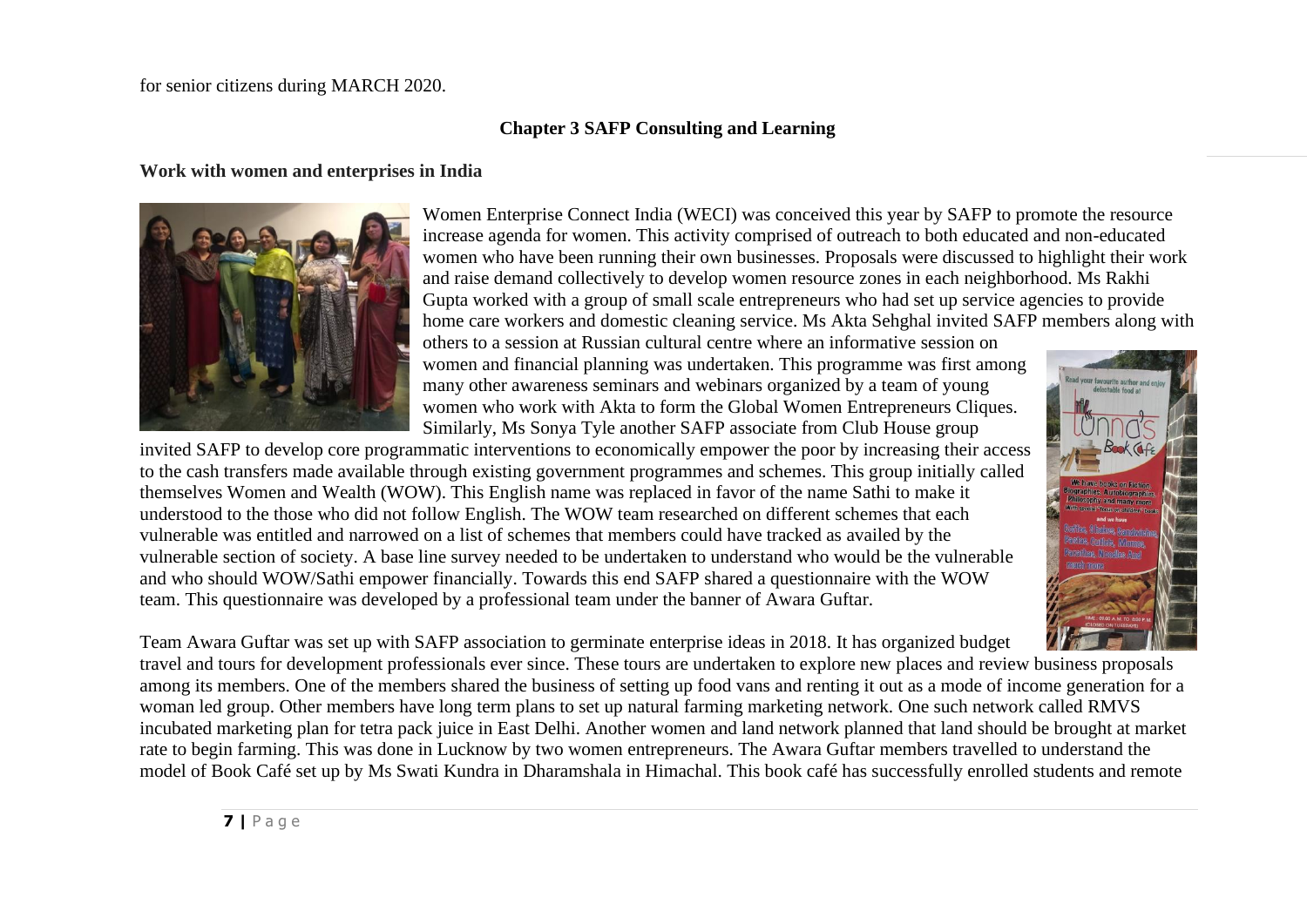#### for senior citizens during MARCH 2020.

# **Chapter 3 SAFP Consulting and Learning**

#### **Work with women and enterprises in India**



Women Enterprise Connect India (WECI) was conceived this year by SAFP to promote the resource increase agenda for women. This activity comprised of outreach to both educated and non-educated women who have been running their own businesses. Proposals were discussed to highlight their work and raise demand collectively to develop women resource zones in each neighborhood. Ms Rakhi Gupta worked with a group of small scale entrepreneurs who had set up service agencies to provide home care workers and domestic cleaning service. Ms Akta Sehghal invited SAFP members along with

others to a session at Russian cultural centre where an informative session on women and financial planning was undertaken. This programme was first among many other awareness seminars and webinars organized by a team of young women who work with Akta to form the Global Women Entrepreneurs Cliques. Similarly, Ms Sonya Tyle another SAFP associate from Club House group

invited SAFP to develop core programmatic interventions to economically empower the poor by increasing their access to the cash transfers made available through existing government programmes and schemes. This group initially called themselves Women and Wealth (WOW). This English name was replaced in favor of the name Sathi to make it understood to the those who did not follow English. The WOW team researched on different schemes that each vulnerable was entitled and narrowed on a list of schemes that members could have tracked as availed by the vulnerable section of society. A base line survey needed to be undertaken to understand who would be the vulnerable and who should WOW/Sathi empower financially. Towards this end SAFP shared a questionnaire with the WOW team. This questionnaire was developed by a professional team under the banner of Awara Guftar.



Team Awara Guftar was set up with SAFP association to germinate enterprise ideas in 2018. It has organized budget

travel and tours for development professionals ever since. These tours are undertaken to explore new places and review business proposals among its members. One of the members shared the business of setting up food vans and renting it out as a mode of income generation for a woman led group. Other members have long term plans to set up natural farming marketing network. One such network called RMVS incubated marketing plan for tetra pack juice in East Delhi. Another women and land network planned that land should be brought at market rate to begin farming. This was done in Lucknow by two women entrepreneurs. The Awara Guftar members travelled to understand the model of Book Café set up by Ms Swati Kundra in Dharamshala in Himachal. This book café has successfully enrolled students and remote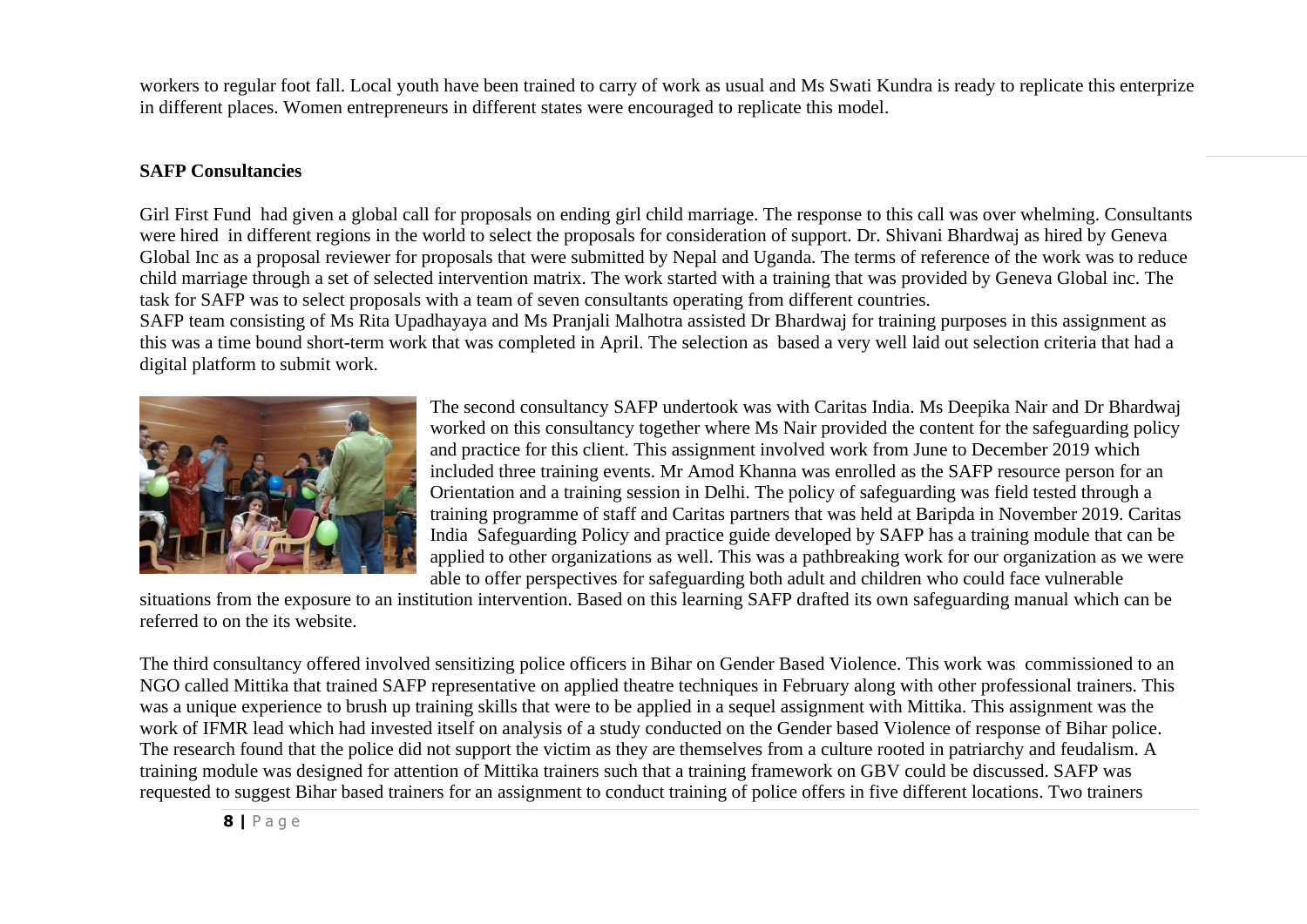workers to regular foot fall. Local youth have been trained to carry of work as usual and Ms Swati Kundra is ready to replicate this enterprize in different places. Women entrepreneurs in different states were encouraged to replicate this model.

## **SAFP Consultancies**

Girl First Fund had given a global call for proposals on ending girl child marriage. The response to this call was over whelming. Consultants were hired in different regions in the world to select the proposals for consideration of support. Dr. Shivani Bhardwaj as hired by Geneva Global Inc as a proposal reviewer for proposals that were submitted by Nepal and Uganda. The terms of reference of the work was to reduce child marriage through a set of selected intervention matrix. The work started with a training that was provided by Geneva Global inc. The task for SAFP was to select proposals with a team of seven consultants operating from different countries.

SAFP team consisting of Ms Rita Upadhayaya and Ms Pranjali Malhotra assisted Dr Bhardwaj for training purposes in this assignment as this was a time bound short-term work that was completed in April. The selection as based a very well laid out selection criteria that had a digital platform to submit work.



The second consultancy SAFP undertook was with Caritas India. Ms Deepika Nair and Dr Bhardwaj worked on this consultancy together where Ms Nair provided the content for the safeguarding policy and practice for this client. This assignment involved work from June to December 2019 which included three training events. Mr Amod Khanna was enrolled as the SAFP resource person for an Orientation and a training session in Delhi. The policy of safeguarding was field tested through a training programme of staff and Caritas partners that was held at Baripda in November 2019. Caritas India Safeguarding Policy and practice guide developed by SAFP has a training module that can be applied to other organizations as well. This was a pathbreaking work for our organization as we were able to offer perspectives for safeguarding both adult and children who could face vulnerable

situations from the exposure to an institution intervention. Based on this learning SAFP drafted its own safeguarding manual which can be referred to on the its website.

The third consultancy offered involved sensitizing police officers in Bihar on Gender Based Violence. This work was commissioned to an NGO called Mittika that trained SAFP representative on applied theatre techniques in February along with other professional trainers. This was a unique experience to brush up training skills that were to be applied in a sequel assignment with Mittika. This assignment was the work of IFMR lead which had invested itself on analysis of a study conducted on the Gender based Violence of response of Bihar police. The research found that the police did not support the victim as they are themselves from a culture rooted in patriarchy and feudalism. A training module was designed for attention of Mittika trainers such that a training framework on GBV could be discussed. SAFP was requested to suggest Bihar based trainers for an assignment to conduct training of police offers in five different locations. Two trainers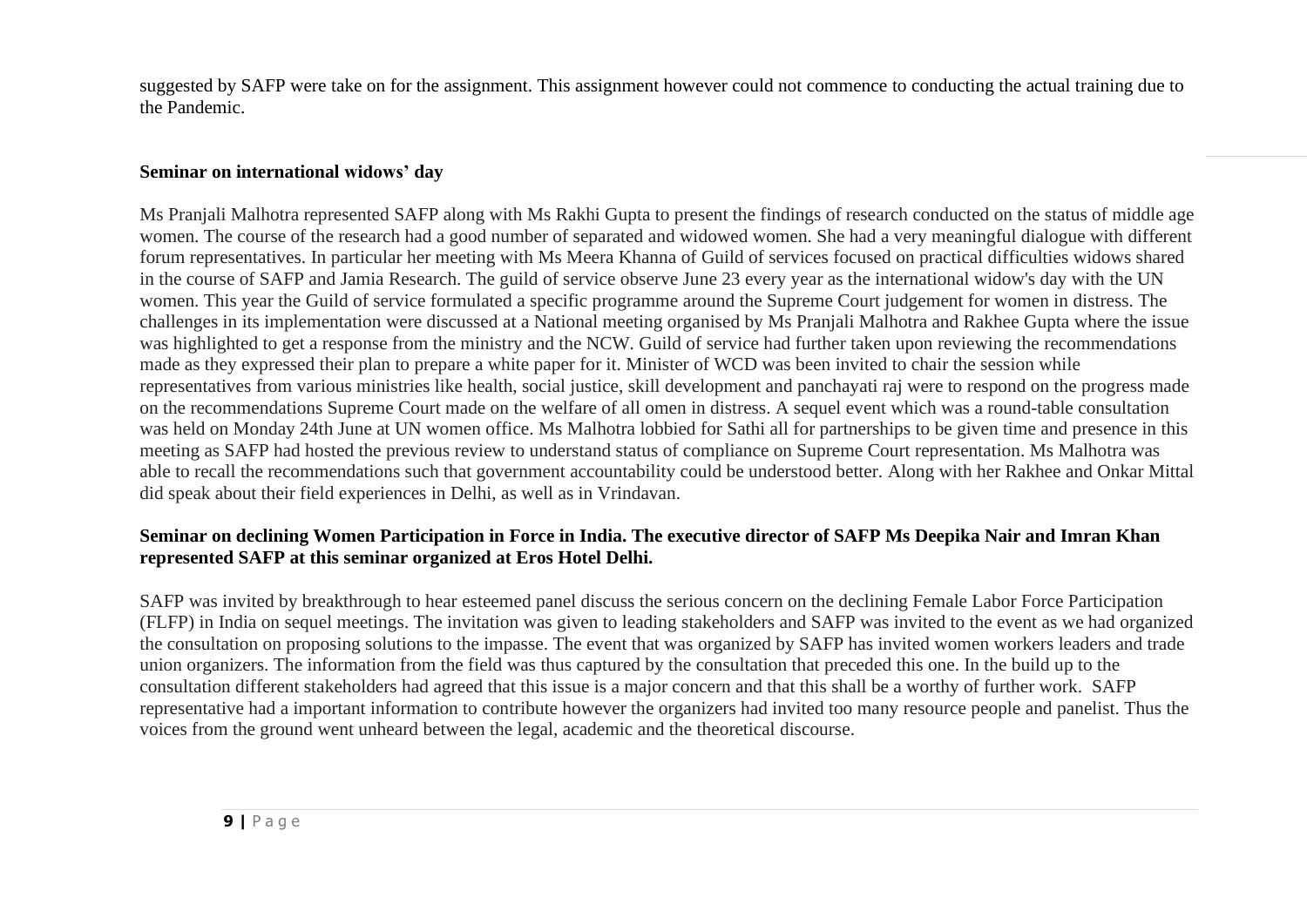suggested by SAFP were take on for the assignment. This assignment however could not commence to conducting the actual training due to the Pandemic.

## **Seminar on international widows' day**

Ms Pranjali Malhotra represented SAFP along with Ms Rakhi Gupta to present the findings of research conducted on the status of middle age women. The course of the research had a good number of separated and widowed women. She had a very meaningful dialogue with different forum representatives. In particular her meeting with Ms Meera Khanna of Guild of services focused on practical difficulties widows shared in the course of SAFP and Jamia Research. The guild of service observe June 23 every year as the international widow's day with the UN women. This year the Guild of service formulated a specific programme around the Supreme Court judgement for women in distress. The challenges in its implementation were discussed at a National meeting organised by Ms Pranjali Malhotra and Rakhee Gupta where the issue was highlighted to get a response from the ministry and the NCW. Guild of service had further taken upon reviewing the recommendations made as they expressed their plan to prepare a white paper for it. Minister of WCD was been invited to chair the session while representatives from various ministries like health, social justice, skill development and panchayati raj were to respond on the progress made on the recommendations Supreme Court made on the welfare of all omen in distress. A sequel event which was a round-table consultation was held on Monday 24th June at UN women office. Ms Malhotra lobbied for Sathi all for partnerships to be given time and presence in this meeting as SAFP had hosted the previous review to understand status of compliance on Supreme Court representation. Ms Malhotra was able to recall the recommendations such that government accountability could be understood better. Along with her Rakhee and Onkar Mittal did speak about their field experiences in Delhi, as well as in Vrindavan.

## **Seminar on declining Women Participation in Force in India. The executive director of SAFP Ms Deepika Nair and Imran Khan represented SAFP at this seminar organized at Eros Hotel Delhi.**

SAFP was invited by breakthrough to hear esteemed panel discuss the serious concern on the declining Female Labor Force Participation (FLFP) in India on sequel meetings. The invitation was given to leading stakeholders and SAFP was invited to the event as we had organized the consultation on proposing solutions to the impasse. The event that was organized by SAFP has invited women workers leaders and trade union organizers. The information from the field was thus captured by the consultation that preceded this one. In the build up to the consultation different stakeholders had agreed that this issue is a major concern and that this shall be a worthy of further work. SAFP representative had a important information to contribute however the organizers had invited too many resource people and panelist. Thus the voices from the ground went unheard between the legal, academic and the theoretical discourse.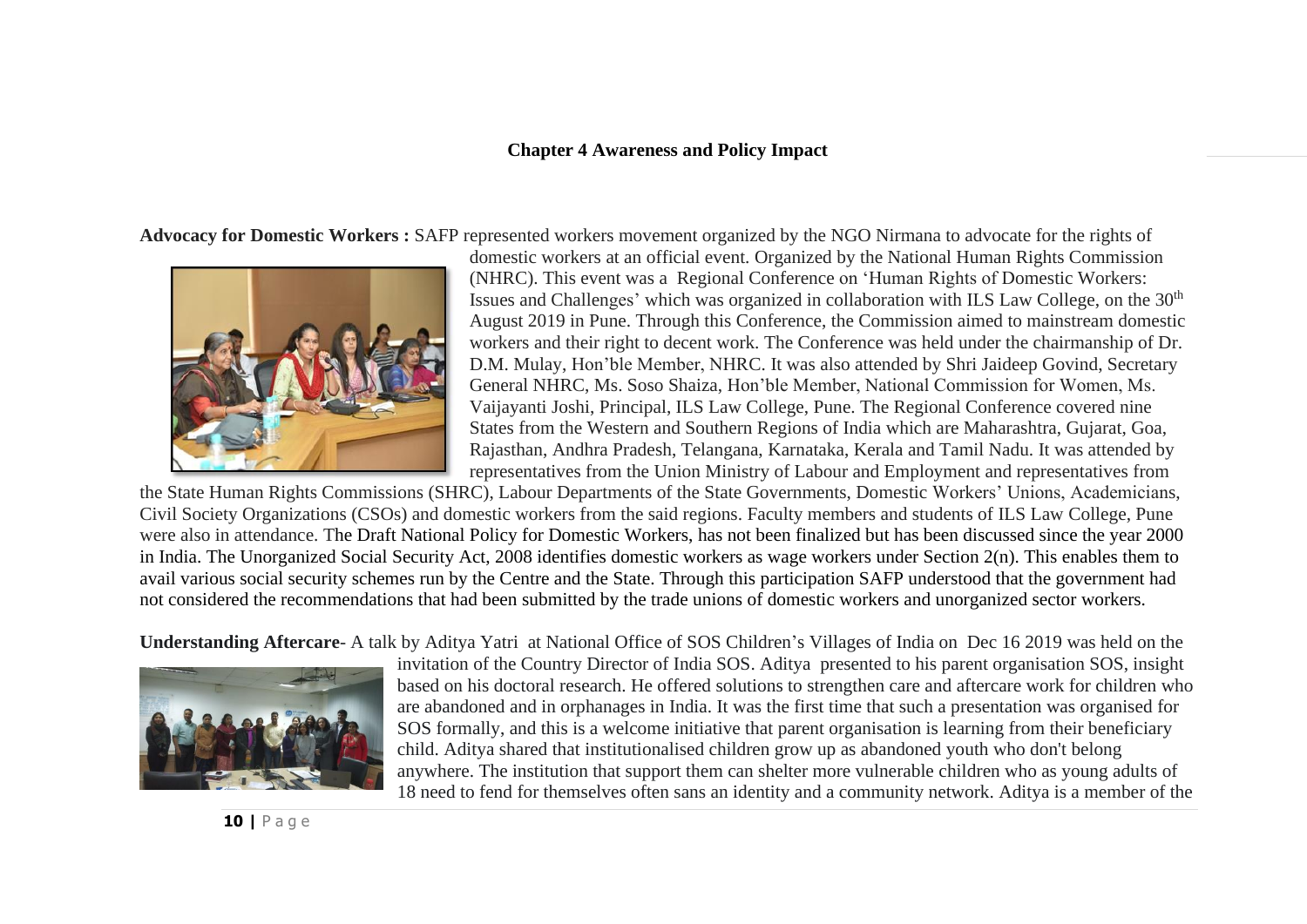#### **Chapter 4 Awareness and Policy Impact**

**Advocacy for Domestic Workers :** SAFP represented workers movement organized by the NGO Nirmana to advocate for the rights of



domestic workers at an official event. Organized by the National Human Rights Commission (NHRC). This event was a Regional Conference on 'Human Rights of Domestic Workers: Issues and Challenges' which was organized in collaboration with ILS Law College, on the 30<sup>th</sup> August 2019 in Pune. Through this Conference, the Commission aimed to mainstream domestic workers and their right to decent work. The Conference was held under the chairmanship of Dr. D.M. Mulay, Hon'ble Member, NHRC. It was also attended by Shri Jaideep Govind, Secretary General NHRC, Ms. Soso Shaiza, Hon'ble Member, National Commission for Women, Ms. Vaijayanti Joshi, Principal, ILS Law College, Pune. The Regional Conference covered nine States from the Western and Southern Regions of India which are Maharashtra, Gujarat, Goa, Rajasthan, Andhra Pradesh, Telangana, Karnataka, Kerala and Tamil Nadu. It was attended by representatives from the Union Ministry of Labour and Employment and representatives from

the State Human Rights Commissions (SHRC), Labour Departments of the State Governments, Domestic Workers' Unions, Academicians, Civil Society Organizations (CSOs) and domestic workers from the said regions. Faculty members and students of ILS Law College, Pune were also in attendance. The Draft National Policy for Domestic Workers, has not been finalized but has been discussed since the year 2000 in India. The Unorganized Social Security Act, 2008 identifies domestic workers as wage workers under Section 2(n). This enables them to avail various social security schemes run by the Centre and the State. Through this participation SAFP understood that the government had not considered the recommendations that had been submitted by the trade unions of domestic workers and unorganized sector workers.

**Understanding Aftercare**- A talk by Aditya Yatri at National Office of SOS Children's Villages of India on Dec 16 2019 was held on the



invitation of the Country Director of India SOS. Aditya presented to his parent organisation SOS, insight based on his doctoral research. He offered solutions to strengthen care and aftercare work for children who are abandoned and in orphanages in India. It was the first time that such a presentation was organised for SOS formally, and this is a welcome initiative that parent organisation is learning from their beneficiary child. Aditya shared that institutionalised children grow up as abandoned youth who don't belong anywhere. The institution that support them can shelter more vulnerable children who as young adults of 18 need to fend for themselves often sans an identity and a community network. Aditya is a member of the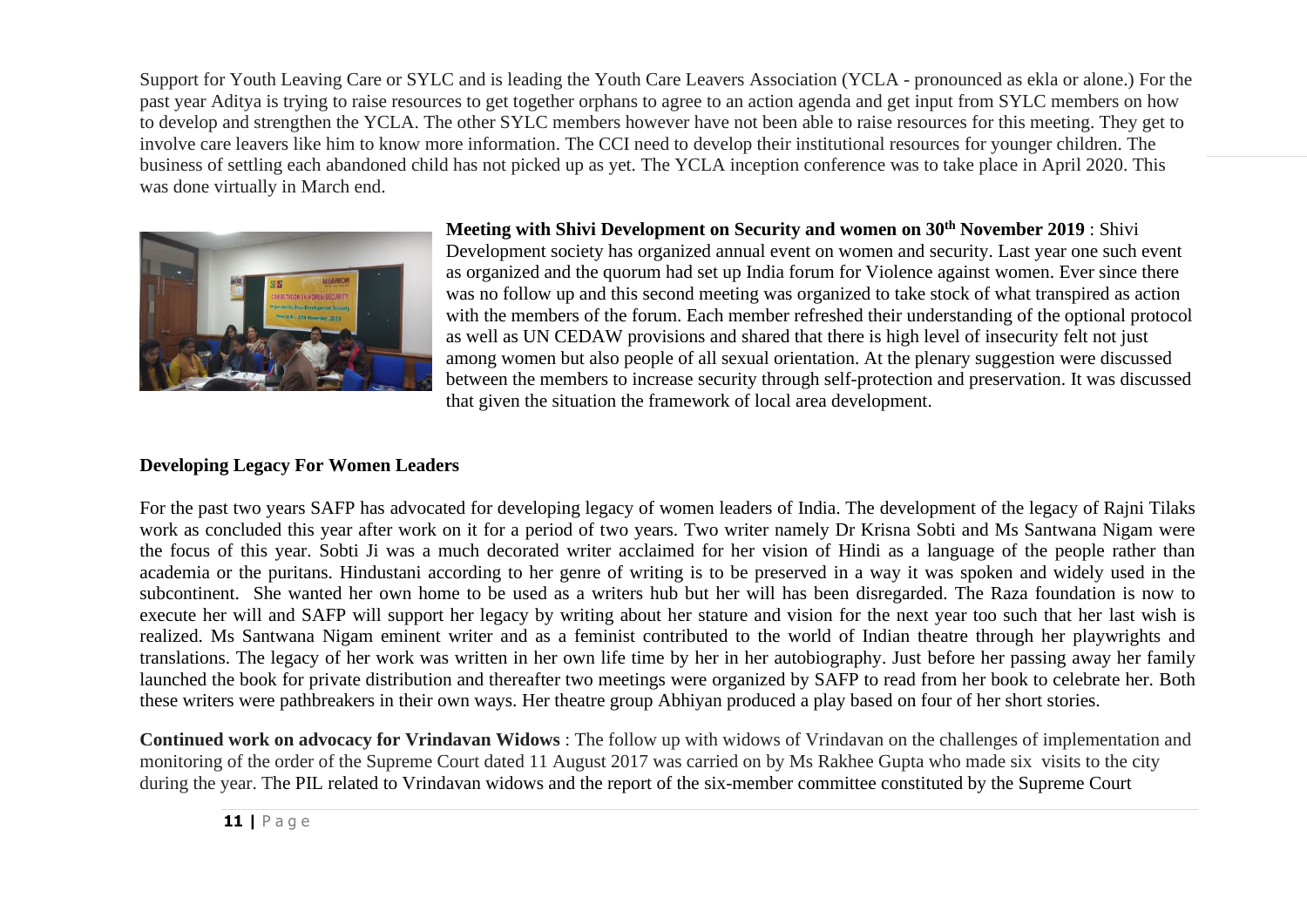Support for Youth Leaving Care or SYLC and is leading the Youth Care Leavers Association (YCLA - pronounced as ekla or alone.) For the past year Aditya is trying to raise resources to get together orphans to agree to an action agenda and get input from SYLC members on how to develop and strengthen the YCLA. The other SYLC members however have not been able to raise resources for this meeting. They get to involve care leavers like him to know more information. The CCI need to develop their institutional resources for younger children. The business of settling each abandoned child has not picked up as yet. The YCLA inception conference was to take place in April 2020. This was done virtually in March end.



**Meeting with Shivi Development on Security and women on 30th November 2019** : Shivi Development society has organized annual event on women and security. Last year one such event as organized and the quorum had set up India forum for Violence against women. Ever since there was no follow up and this second meeting was organized to take stock of what transpired as action with the members of the forum. Each member refreshed their understanding of the optional protocol as well as UN CEDAW provisions and shared that there is high level of insecurity felt not just among women but also people of all sexual orientation. At the plenary suggestion were discussed between the members to increase security through self-protection and preservation. It was discussed that given the situation the framework of local area development.

## **Developing Legacy For Women Leaders**

For the past two years SAFP has advocated for developing legacy of women leaders of India. The development of the legacy of Rajni Tilaks work as concluded this year after work on it for a period of two years. Two writer namely Dr Krisna Sobti and Ms Santwana Nigam were the focus of this year. Sobti Ji was a much decorated writer acclaimed for her vision of Hindi as a language of the people rather than academia or the puritans. Hindustani according to her genre of writing is to be preserved in a way it was spoken and widely used in the subcontinent. She wanted her own home to be used as a writers hub but her will has been disregarded. The Raza foundation is now to execute her will and SAFP will support her legacy by writing about her stature and vision for the next year too such that her last wish is realized. Ms Santwana Nigam eminent writer and as a feminist contributed to the world of Indian theatre through her playwrights and translations. The legacy of her work was written in her own life time by her in her autobiography. Just before her passing away her family launched the book for private distribution and thereafter two meetings were organized by SAFP to read from her book to celebrate her. Both these writers were pathbreakers in their own ways. Her theatre group Abhiyan produced a play based on four of her short stories.

**Continued work on advocacy for Vrindavan Widows** : The follow up with widows of Vrindavan on the challenges of implementation and monitoring of the order of the Supreme Court dated 11 August 2017 was carried on by Ms Rakhee Gupta who made six visits to the city during the year. The PIL related to Vrindavan widows and the report of the six-member committee constituted by the Supreme Court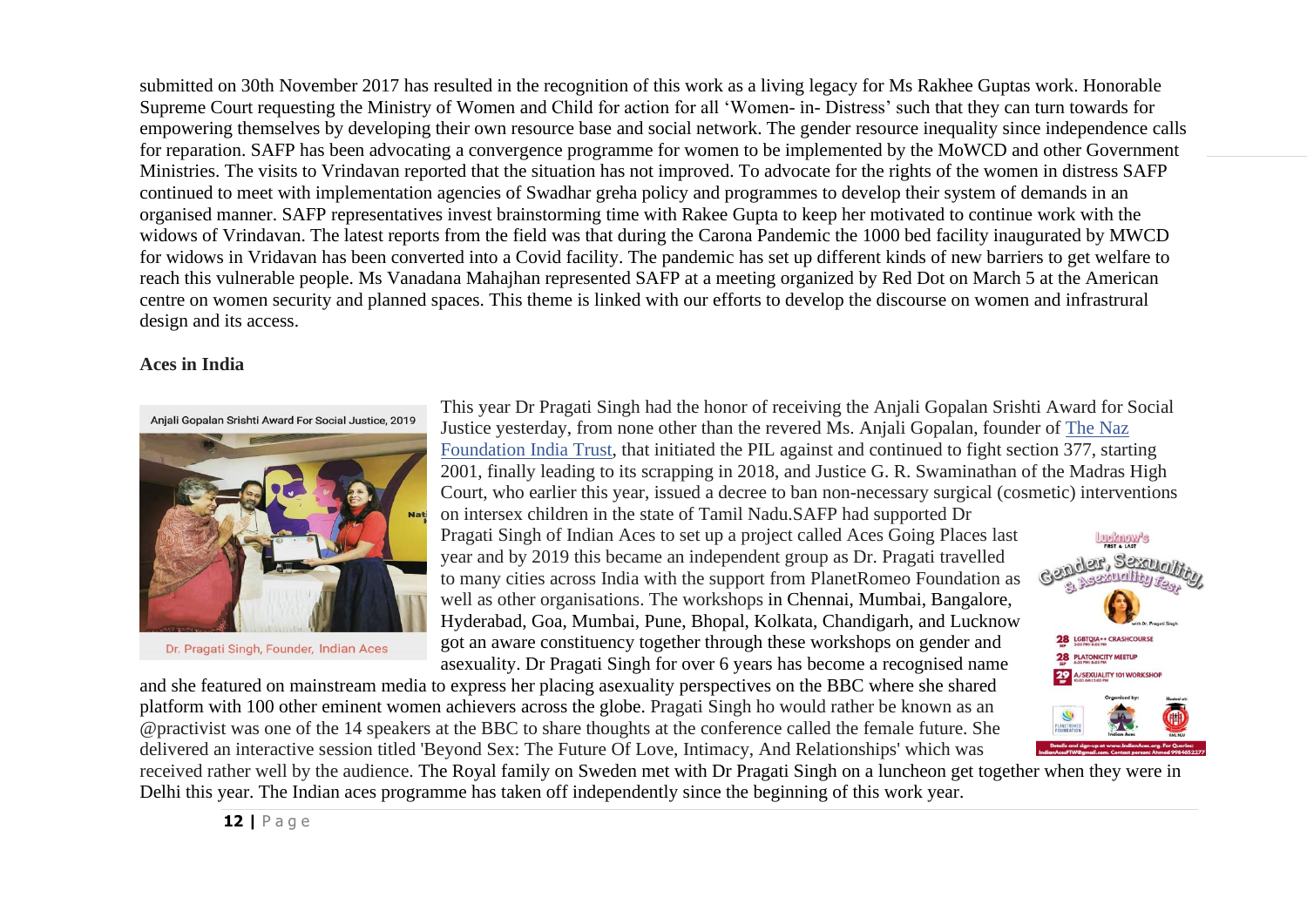submitted on 30th November 2017 has resulted in the recognition of this work as a living legacy for Ms Rakhee Guptas work. Honorable Supreme Court requesting the Ministry of Women and Child for action for all 'Women- in- Distress' such that they can turn towards for empowering themselves by developing their own resource base and social network. The gender resource inequality since independence calls for reparation. SAFP has been advocating a convergence programme for women to be implemented by the MoWCD and other Government Ministries. The visits to Vrindavan reported that the situation has not improved. To advocate for the rights of the women in distress SAFP continued to meet with implementation agencies of Swadhar greha policy and programmes to develop their system of demands in an organised manner. SAFP representatives invest brainstorming time with Rakee Gupta to keep her motivated to continue work with the widows of Vrindavan. The latest reports from the field was that during the Carona Pandemic the 1000 bed facility inaugurated by MWCD for widows in Vridavan has been converted into a Covid facility. The pandemic has set up different kinds of new barriers to get welfare to reach this vulnerable people. Ms Vanadana Mahajhan represented SAFP at a meeting organized by Red Dot on March 5 at the American centre on women security and planned spaces. This theme is linked with our efforts to develop the discourse on women and infrastrural design and its access.

#### **Aces in India**



Dr. Pragati Singh, Founder, Indian Aces

This year Dr Pragati Singh had the honor of receiving the Anjali Gopalan Srishti Award for Social Justice yesterday, from none other than the revered Ms. Anjali Gopalan, founder of [The Naz](https://www.facebook.com/Nazfoundationindiatrust/?__tn__=K-R&eid=ARACfYCnC3Waq4nBllEZRFkpZNY0myM7vf43zva-2rPk4VqRtKzZIag3tBIA1Zq9rZ6BGJuEPK5xC_kM&fref=mentions&__xts__%5B0%5D=68.ARCrBdAr9odZkv4_M_3HW00ZKzlOSSaGfYCz9E3KFe9nj-2O7XmptV_j8Yt8twRebv919Hx-CRVMKoKawYCBdkVyCNXbT11Eu2Xw96LbMU-_SsMem7VTidPkLOVyjscNh5SofGCsB9TFSABIn8JPuqYvEKUPm43-tVk7IK_-LK7yb6H-E0XR5GkBJnBPPiz-fjAwh8KJYNa7cytzfb2oW2rpDGBTwcy_2OlL1_WPZVPM5hbQfql8xaIaSAAKA0QW8TXCEQ)  [Foundation India Trust,](https://www.facebook.com/Nazfoundationindiatrust/?__tn__=K-R&eid=ARACfYCnC3Waq4nBllEZRFkpZNY0myM7vf43zva-2rPk4VqRtKzZIag3tBIA1Zq9rZ6BGJuEPK5xC_kM&fref=mentions&__xts__%5B0%5D=68.ARCrBdAr9odZkv4_M_3HW00ZKzlOSSaGfYCz9E3KFe9nj-2O7XmptV_j8Yt8twRebv919Hx-CRVMKoKawYCBdkVyCNXbT11Eu2Xw96LbMU-_SsMem7VTidPkLOVyjscNh5SofGCsB9TFSABIn8JPuqYvEKUPm43-tVk7IK_-LK7yb6H-E0XR5GkBJnBPPiz-fjAwh8KJYNa7cytzfb2oW2rpDGBTwcy_2OlL1_WPZVPM5hbQfql8xaIaSAAKA0QW8TXCEQ) that initiated the PIL against and continued to fight section 377, starting 2001, finally leading to its scrapping in 2018, and Justice G. R. Swaminathan of the Madras High Court, who earlier this year, issued a decree to ban non-necessary surgical (cosmetic) interventions

on intersex children in the state of Tamil Nadu.SAFP had supported Dr Pragati Singh of Indian Aces to set up a project called Aces Going Places last year and by 2019 this became an independent group as Dr. Pragati travelled to many cities across India with the support from PlanetRomeo Foundation as well as other organisations. The workshops in Chennai, Mumbai, Bangalore, Hyderabad, Goa, Mumbai, Pune, Bhopal, Kolkata, Chandigarh, and Lucknow got an aware constituency together through these workshops on gender and asexuality. Dr Pragati Singh for over 6 years has become a recognised name

and she featured on mainstream media to express her placing asexuality perspectives on the BBC where she shared platform with 100 other eminent women achievers across the globe. Pragati Singh ho would rather be known as an @practivist was one of the 14 speakers at the BBC to share thoughts at the conference called the female future. She delivered an interactive session titled 'Beyond Sex: The Future Of Love, Intimacy, And Relationships' which was



received rather well by the audience. The Royal family on Sweden met with Dr Pragati Singh on a luncheon get together when they were in Delhi this year. The Indian aces programme has taken off independently since the beginning of this work year.

**12 |** P a g e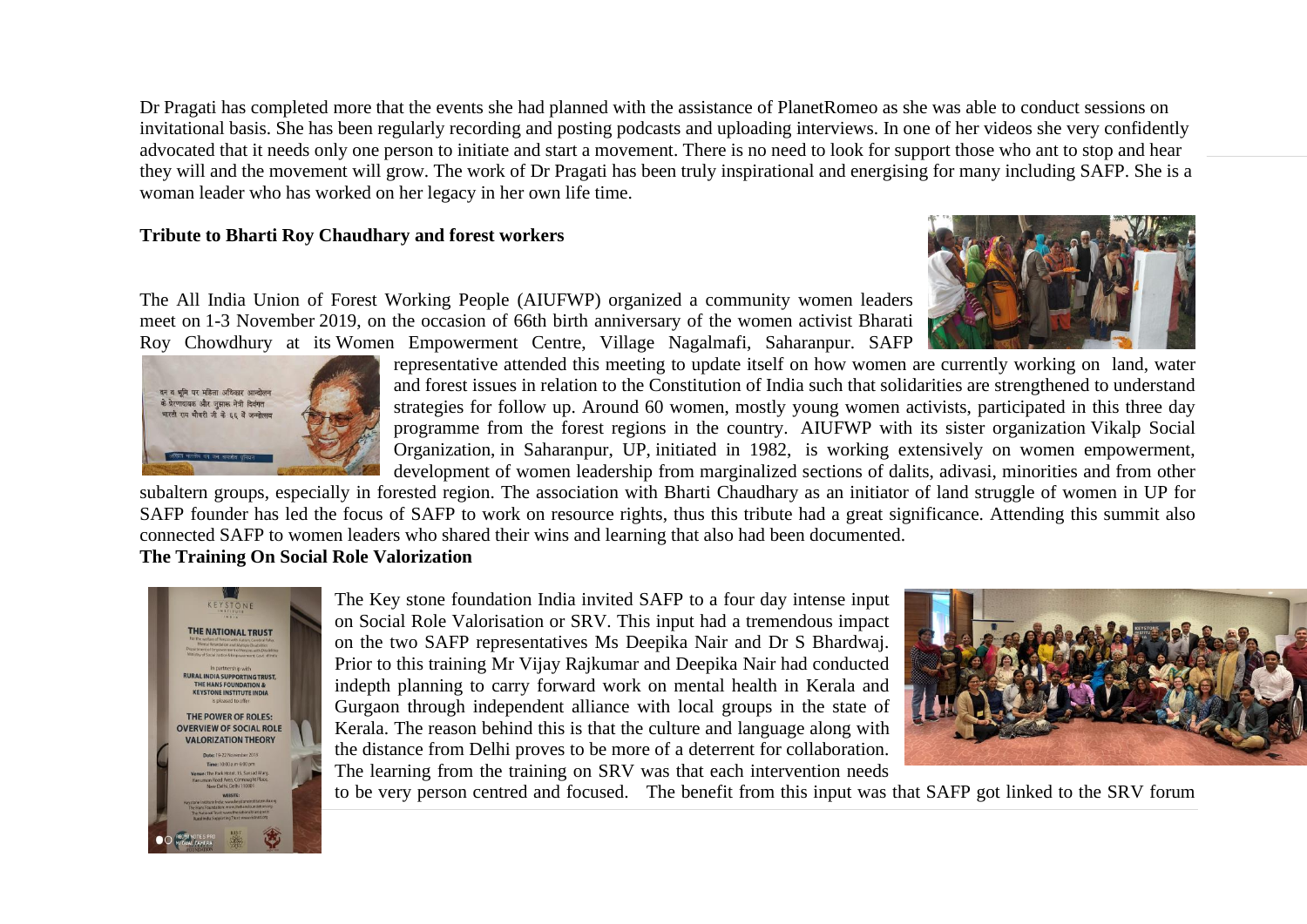Dr Pragati has completed more that the events she had planned with the assistance of PlanetRomeo as she was able to conduct sessions on invitational basis. She has been regularly recording and posting podcasts and uploading interviews. In one of her videos she very confidently advocated that it needs only one person to initiate and start a movement. There is no need to look for support those who ant to stop and hear they will and the movement will grow. The work of Dr Pragati has been truly inspirational and energising for many including SAFP. She is a woman leader who has worked on her legacy in her own life time.

#### **Tribute to Bharti Roy Chaudhary and forest workers**

The All India Union of Forest Working People (AIUFWP) organized a community women leaders meet on 1-3 November 2019, on the occasion of 66th birth anniversary of the women activist Bharati Roy Chowdhury at its Women Empowerment Centre, Village Nagalmafi, Saharanpur. SAFP





representative attended this meeting to update itself on how women are currently working on land, water and forest issues in relation to the Constitution of India such that solidarities are strengthened to understand strategies for follow up. Around 60 women, mostly young women activists, participated in this three day programme from the forest regions in the country. AIUFWP with its sister organization Vikalp Social Organization, in Saharanpur, UP, initiated in 1982, is working extensively on women empowerment, development of women leadership from marginalized sections of dalits, adivasi, minorities and from other

subaltern groups, especially in forested region. The association with Bharti Chaudhary as an initiator of land struggle of women in UP for SAFP founder has led the focus of SAFP to work on resource rights, thus this tribute had a great significance. Attending this summit also connected SAFP to women leaders who shared their wins and learning that also had been documented.

#### **The Training On Social Role Valorization**



The Key stone foundation India invited SAFP to a four day intense input on Social Role Valorisation or SRV. This input had a tremendous impact on the two SAFP representatives Ms Deepika Nair and Dr S Bhardwaj. Prior to this training Mr Vijay Rajkumar and Deepika Nair had conducted indepth planning to carry forward work on mental health in Kerala and Gurgaon through independent alliance with local groups in the state of Kerala. The reason behind this is that the culture and language along with the distance from Delhi proves to be more of a deterrent for collaboration. The learning from the training on SRV was that each intervention needs



to be very person centred and focused. The benefit from this input was that SAFP got linked to the SRV forum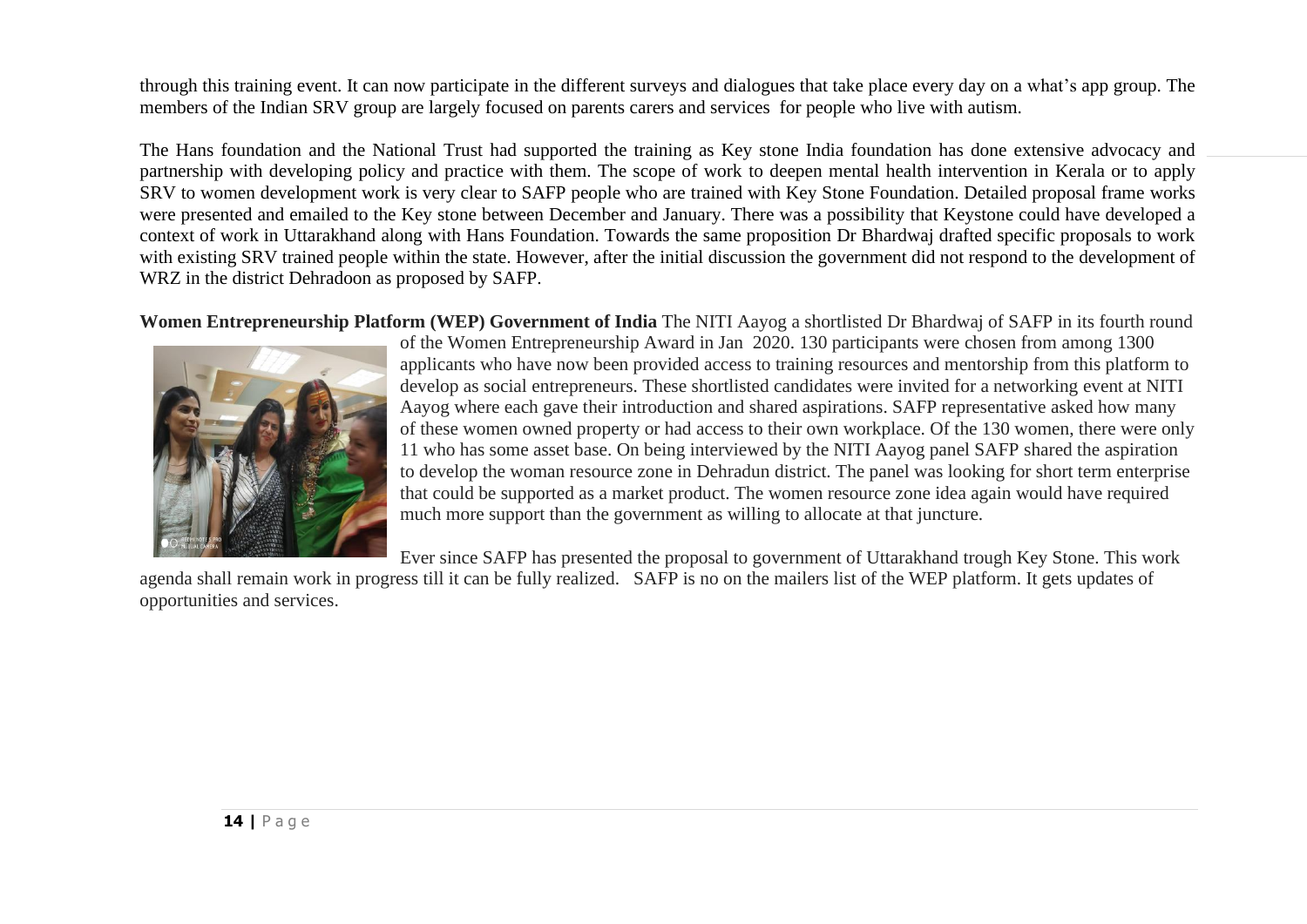through this training event. It can now participate in the different surveys and dialogues that take place every day on a what's app group. The members of the Indian SRV group are largely focused on parents carers and services for people who live with autism.

The Hans foundation and the National Trust had supported the training as Key stone India foundation has done extensive advocacy and partnership with developing policy and practice with them. The scope of work to deepen mental health intervention in Kerala or to apply SRV to women development work is very clear to SAFP people who are trained with Key Stone Foundation. Detailed proposal frame works were presented and emailed to the Key stone between December and January. There was a possibility that Keystone could have developed a context of work in Uttarakhand along with Hans Foundation. Towards the same proposition Dr Bhardwaj drafted specific proposals to work with existing SRV trained people within the state. However, after the initial discussion the government did not respond to the development of WRZ in the district Dehradoon as proposed by SAFP.

**Women Entrepreneurship Platform (WEP) Government of India** The NITI Aayog a shortlisted Dr Bhardwaj of SAFP in its fourth round



of the Women Entrepreneurship Award in Jan 2020. 130 participants were chosen from among 1300 applicants who have now been provided access to training resources and mentorship from this platform to develop as social entrepreneurs. These shortlisted candidates were invited for a networking event at NITI Aayog where each gave their introduction and shared aspirations. SAFP representative asked how many of these women owned property or had access to their own workplace. Of the 130 women, there were only 11 who has some asset base. On being interviewed by the NITI Aayog panel SAFP shared the aspiration to develop the woman resource zone in Dehradun district. The panel was looking for short term enterprise that could be supported as a market product. The women resource zone idea again would have required much more support than the government as willing to allocate at that juncture.

Ever since SAFP has presented the proposal to government of Uttarakhand trough Key Stone. This work

agenda shall remain work in progress till it can be fully realized. SAFP is no on the mailers list of the WEP platform. It gets updates of opportunities and services.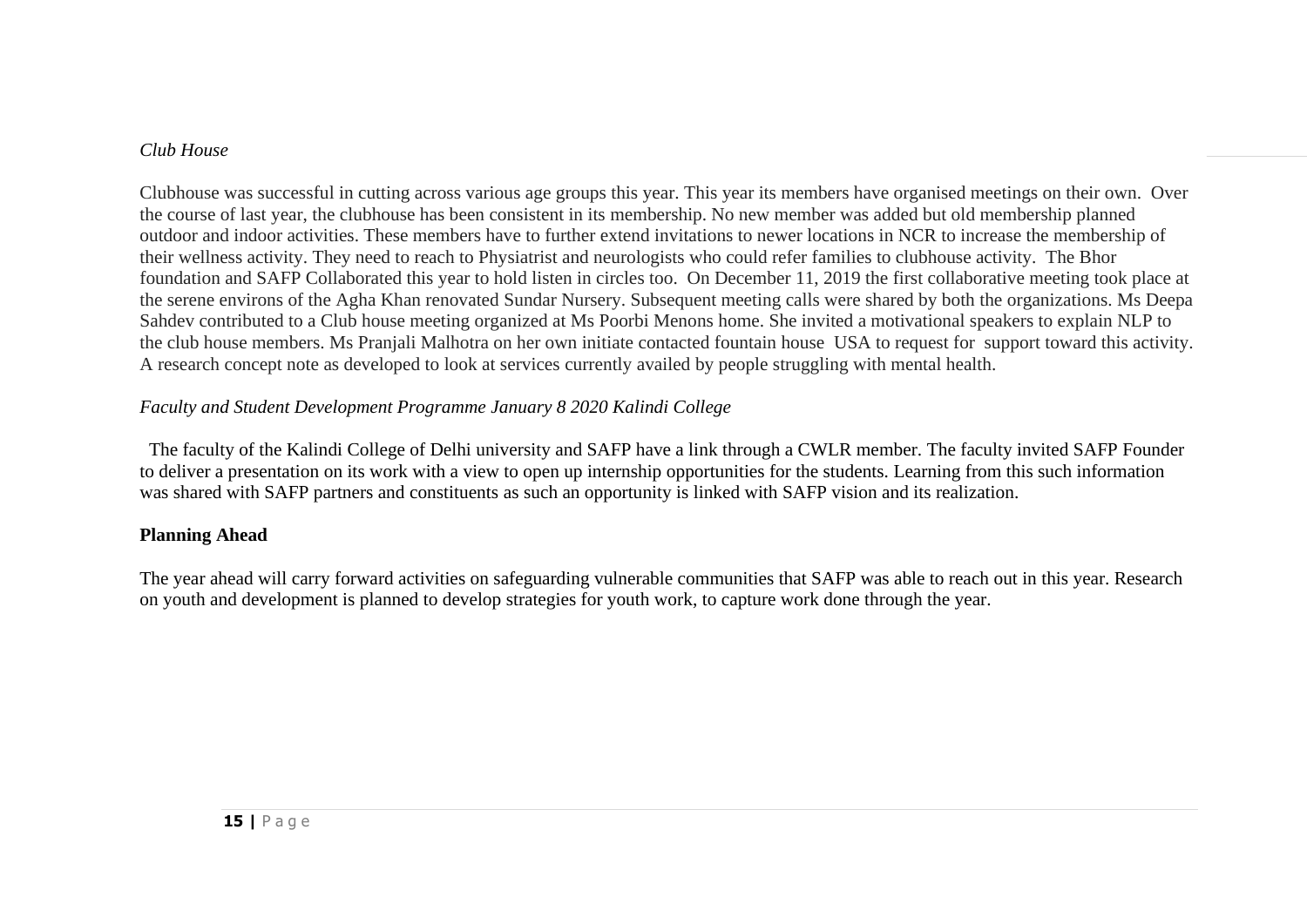#### *Club House*

Clubhouse was successful in cutting across various age groups this year. This year its members have organised meetings on their own. Over the course of last year, the clubhouse has been consistent in its membership. No new member was added but old membership planned outdoor and indoor activities. These members have to further extend invitations to newer locations in NCR to increase the membership of their wellness activity. They need to reach to Physiatrist and neurologists who could refer families to clubhouse activity. The Bhor foundation and SAFP Collaborated this year to hold listen in circles too. On December 11, 2019 the first collaborative meeting took place at the serene environs of the Agha Khan renovated Sundar Nursery. Subsequent meeting calls were shared by both the organizations. Ms Deepa Sahdev contributed to a Club house meeting organized at Ms Poorbi Menons home. She invited a motivational speakers to explain NLP to the club house members. Ms Pranjali Malhotra on her own initiate contacted fountain house USA to request for support toward this activity. A research concept note as developed to look at services currently availed by people struggling with mental health.

# *Faculty and Student Development Programme January 8 2020 Kalindi College*

The faculty of the Kalindi College of Delhi university and SAFP have a link through a CWLR member. The faculty invited SAFP Founder to deliver a presentation on its work with a view to open up internship opportunities for the students. Learning from this such information was shared with SAFP partners and constituents as such an opportunity is linked with SAFP vision and its realization.

## **Planning Ahead**

The year ahead will carry forward activities on safeguarding vulnerable communities that SAFP was able to reach out in this year. Research on youth and development is planned to develop strategies for youth work, to capture work done through the year.